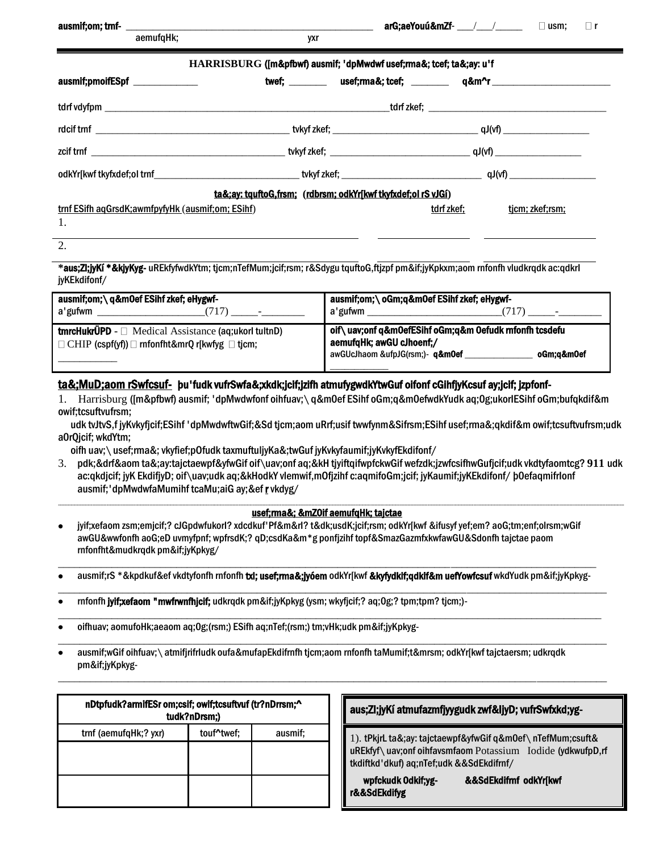| aemufgHk;                                          | yxr                                                                 |                                                                |                 |
|----------------------------------------------------|---------------------------------------------------------------------|----------------------------------------------------------------|-----------------|
|                                                    |                                                                     |                                                                |                 |
|                                                    | HARRISBURG ([m&pfbwf) ausmif; 'dpMwdwf usef;rma&; tcef; ta&;ay: u'f |                                                                |                 |
| ausmif;pmoifESpf ______________                    |                                                                     | twef; ________ usef;rma&; tcef; _______ q&m^r ________________ |                 |
|                                                    |                                                                     |                                                                |                 |
|                                                    |                                                                     |                                                                |                 |
|                                                    |                                                                     |                                                                |                 |
|                                                    |                                                                     |                                                                |                 |
|                                                    | ta&:ay: tquftoG.frsm: (rdbrsm: odkYrjkwf tkyfxdef:ol rS vJGi)       |                                                                |                 |
| trnf ESifh agGrsdK; awmfpyfyHk (ausmif; om; ESihf) |                                                                     | tdrf zkef;                                                     | tjcm; zkef;rsm; |
| 1.                                                 |                                                                     |                                                                |                 |
| $\Omega$                                           |                                                                     |                                                                |                 |

**\*aus;Zl;jyKí \*&kjyKyg-** uREkfyfwdkYtm; tjcm;nTefMum;jcif;rsm; r&Sdygu tquftoG,ftjzpf pm&if;jyKpkxm;aom rnfonfh vludkrqdk ac:qdkrl jyKEkdifonf/

| ausmif;om;\q&m0ef ESihf zkef; eHygwf-<br>a'gufwm<br>$\overline{\phantom{0}}$                                                         | ausmif;om;\ oGm;q&m0ef ESihf zkef; eHygwf-<br>a'gufwm                                                                                           |
|--------------------------------------------------------------------------------------------------------------------------------------|-------------------------------------------------------------------------------------------------------------------------------------------------|
| <b>tmrcHukrÜPD</b> - $\Box$ Medical Assistance (aq; ukorl tultnD)<br>$\Box$ CHIP (cspf(yf)) $\Box$ rnfonfht&mrQ r[kwfyg $\Box$ tjcm; | oif \uav;onf q&m0efESihf oGm;q&m 0efudk rnfonfh tcsdefu<br>aemufqHk; awGU cJhoenf;/<br>awGUcJhaom &ufpJG(rsm;)- <b>g&amp;m0ef</b><br>oGm:a&m0ef |

### ta&;MuD;aom rSwfcsuf- bu'fudk vufrSwfa&;xkdk;jcif;jzifh atmufygwdkYtwGuf oifonf cGihfjyKcsuf ay;jcif; jzpfonf-

1. Harrisburg ([m&pfbwf) ausmif; 'dpMwdwfonf oihfuav;\ q&m0ef ESihf oGm;q&m0efwdkYudk aq:0g:ukorlESihf oGm:bufqkdif&m owif:tcsuftvufrsm:

udk tvJtvS,f jyKvkyfjcif;ESihf 'dpMwdwftwGif;&Sd tjcm;aom uRrf;usif twwfynm&Sifrsm;ESihf usef;rma&;qkdif&m owif;tcsuftvufrsm;udk a0rQjcif; wkdYtm;

oifh uav; \usef;rma&; vkyfief;pOfudk taxmuftuljyKa&;twGuf jyKvkyfaumif;jyKvkyfEkdifonf/

3. pdk;&drf&aom ta&;ay:tajctaewpf&yfwGif oif\uav;onf aq;&kH tjyiftgifwpfckwGif wefzdk;jzwfcsifhwGufjcif;udk vkdtyfaomtcg? 911 udk ac:qkdjcif; jyK EkdifjyD; oif\uav;udk aq;&kHodkY vlemwif,mOfjzihf c:aqmifoGm;jcif; jyKaumif;jyKEkdifonf/ b0efaqmifrlonf ausmif;'dpMwdwfaMumihftcaMu;aiGay;&efrvkdyg/

#### usef; ma&; & mZ0if aemufgHk; tajctae

- jyif;xefaom zsm;emjcif;? cJGpdwfukorl? xdcdkuf'Pf&m&rl? t&dk;usdK;jcif;rsm; odkYrJkwf &ifusyf yef;em? aoG;tm;enf;olrsm;wGif awGU&wwfonfh aoG;eD uvmyfpnf; wpfrsdK;? qD;csdKa&m\*g ponfizihf topf&SmazGazmfxkwfawGU&Sdonfh taictae paom rnfonfht&mudkrqdk pm&if;jyKpkyg/
- ausmif:rS \*&kpdkuf&ef vkdtyfonfh rnfonfh txl; usef;rma&;jyóem odkYrjkwf &kyfydkif;qdkif&m uefYowfcsuf wkdYudk pm&if;jyKpkyg-
- rnfonfh jyif;xefaom "mwfrwnfhjcif; udkrqdk pm&if;jyKpkyg (ysm; wkyfjcif;? aq;0g;? tpm;tpm? tjcm;)-
- oifhuav; aomufoHk;aeaom aq;Og;(rsm;) ESifh aq;nTef;(rsm;) tm;vHk;udk pm&if;jyKpkyg-
- ausmif;wGif oihfuav; \ atmifjrifrludk oufa&mufapEkdifrnfh tjcm;aom rnfonfh taMumif;t&mrsm; odkYr[kwf tajctaersm; udkrqdk pm&if:jyKpkyg-

| nDtpfudk?armifESr om;csif; owif;tcsuftvuf (tr?nDrrsm;^<br>tudk?nDrsm;) |            |         |  |
|------------------------------------------------------------------------|------------|---------|--|
| trnf (aemufqHk;? yxr)                                                  | touf^twef; | ausmif; |  |
|                                                                        |            |         |  |
|                                                                        |            |         |  |

#### aus;ZI;jyKí atmufazmfjyygudk zwf&ljyD; vufrSwfxkd;yg-

1). tPkjrL ta&;ay: tajctaewpf&yfwGif q&m0ef\ nTefMum;csuft& uREkfyf\uav;onf oihfavsmfaom Potassium Iodide (ydkwufpD,rf tkdiftkd'dkuf) aq;nTef;udk &&SdEkdifrnf/

| wpfckudk Odkif;yg- | &&SdEkdifmf odkYr[kwf |  |
|--------------------|-----------------------|--|
| r&&SdEkdifyg       |                       |  |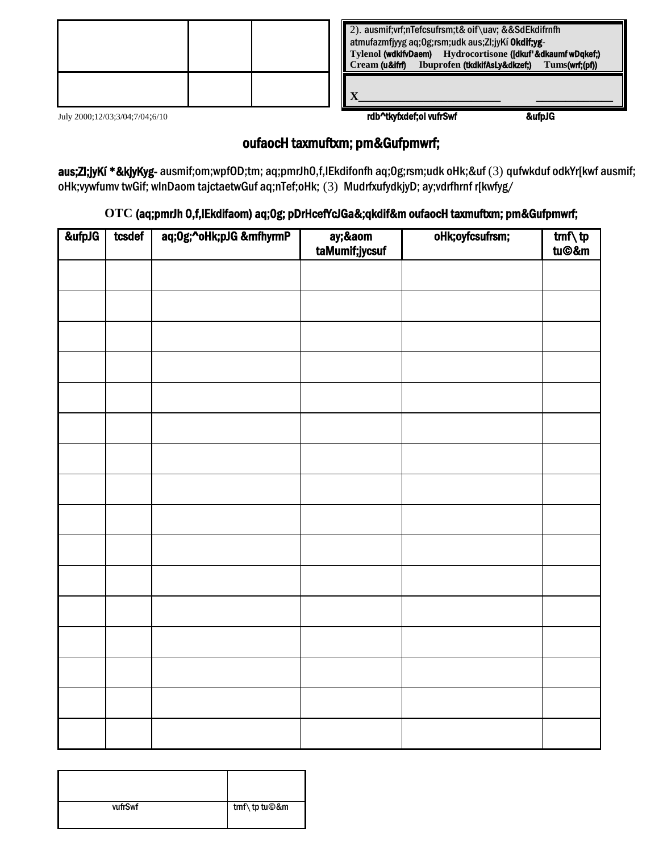| 2). ausmif; vrf; nTefcsufrsm; t& oif \uav; & & SdEkdifrnfh<br>atmufazmfjyyg aq;0g;rsm;udk aus;Zl;jyKí Okdif;yg-<br>Hydrocortisone ([dkuf'&dkaumf wDqkef;)<br><b>Tylenol (wdkifyDaem)</b><br>Ibuprofen (tkdkifAsLy&dkzef)<br>Cream (u&ifrf)<br>Tums(wrf;(pf)) |  |  |
|--------------------------------------------------------------------------------------------------------------------------------------------------------------------------------------------------------------------------------------------------------------|--|--|
|                                                                                                                                                                                                                                                              |  |  |

July 2000;12/03;3/04;7/04;6/10

rdb^tkyfxdef;ol vufrSwf

&ufpJG

# oufaocH taxmuftxm; pm&Gufpmwrf;

aus;Zl;jyKí \*&kjyKyg-ausmif;om;wpfOD;tm; aq;pmrJhO,f,IEkdifonfh aq;Og;rsm;udk oHk;&uf (3) qufwkduf odkYr[kwf ausmif; oHk;vywfumv twGif; wlnDaom tajctaetwGuf aq;nTef;oHk; (3) MudrfxufydkjyD; ay;vdrfhrnf r[kwfyg/

## OTC (aq;pmrJh 0,f,IEkdifaom) aq;Og; pDrHcefYcJGa&;qkdif&m oufaocH taxmuftxm; pm&Gufpmwrf;

| &ufpJG | tcsdef | aq;0g;^oHk;pJG &mfhyrmP | ay;&aom<br>taMumif;jycsuf | oHk;oyfcsufrsm; | tmf\tp<br>tu©&m |
|--------|--------|-------------------------|---------------------------|-----------------|-----------------|
|        |        |                         |                           |                 |                 |
|        |        |                         |                           |                 |                 |
|        |        |                         |                           |                 |                 |
|        |        |                         |                           |                 |                 |
|        |        |                         |                           |                 |                 |
|        |        |                         |                           |                 |                 |
|        |        |                         |                           |                 |                 |
|        |        |                         |                           |                 |                 |
|        |        |                         |                           |                 |                 |
|        |        |                         |                           |                 |                 |
|        |        |                         |                           |                 |                 |
|        |        |                         |                           |                 |                 |
|        |        |                         |                           |                 |                 |
|        |        |                         |                           |                 |                 |
|        |        |                         |                           |                 |                 |
|        |        |                         |                           |                 |                 |

| vufrSwf | trnf \tp tu©&m |
|---------|----------------|